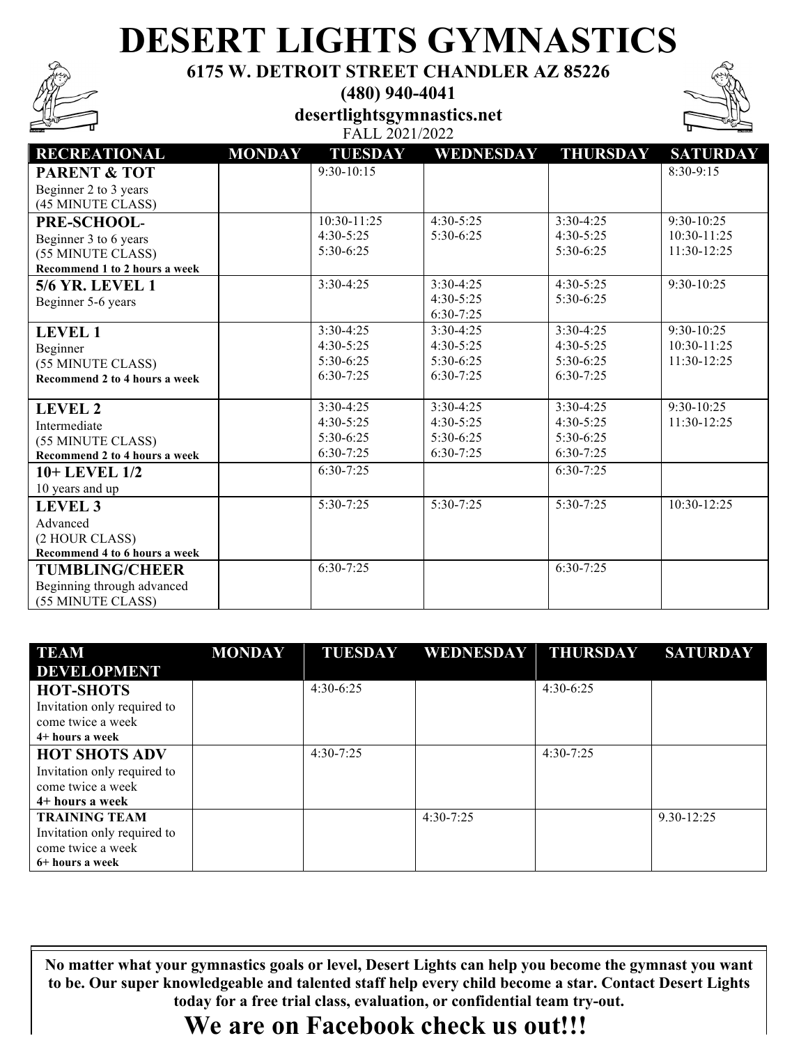# **DESERT LIGHTS GYMNASTICS**

**6175 W. DETROIT STREET CHANDLER AZ 85226**

**(480) 940-4041**

**desertlightsgymnastics.net** FALL 2021/2022



| <b>RECREATIONAL</b>           | <b>MONDAY</b> | <b>TUESDAY</b> | WEDNESDAY   | <b>THURSDAY</b> | <b>SATURDAY</b> |
|-------------------------------|---------------|----------------|-------------|-----------------|-----------------|
| <b>PARENT &amp; TOT</b>       |               | $9:30-10:15$   |             |                 | 8:30-9:15       |
| Beginner 2 to 3 years         |               |                |             |                 |                 |
| (45 MINUTE CLASS)             |               |                |             |                 |                 |
| PRE-SCHOOL-                   |               | 10:30-11:25    | $4:30-5:25$ | $3:30-4:25$     | $9:30-10:25$    |
| Beginner 3 to 6 years         |               | $4:30-5:25$    | $5:30-6:25$ | $4:30-5:25$     | 10:30-11:25     |
| (55 MINUTE CLASS)             |               | $5:30-6:25$    |             | $5:30-6:25$     | $11:30-12:25$   |
| Recommend 1 to 2 hours a week |               |                |             |                 |                 |
| <b>5/6 YR. LEVEL 1</b>        |               | $3:30-4:25$    | $3:30-4:25$ | $4:30-5:25$     | $9:30-10:25$    |
| Beginner 5-6 years            |               |                | $4:30-5:25$ | 5:30-6:25       |                 |
|                               |               |                | $6:30-7:25$ |                 |                 |
| <b>LEVEL 1</b>                |               | $3:30-4:25$    | $3:30-4:25$ | $3:30-4:25$     | $9:30-10:25$    |
| Beginner                      |               | $4:30-5:25$    | $4:30-5:25$ | $4:30-5:25$     | 10:30-11:25     |
| (55 MINUTE CLASS)             |               | $5:30-6:25$    | $5:30-6:25$ | $5:30-6:25$     | 11:30-12:25     |
| Recommend 2 to 4 hours a week |               | $6:30-7:25$    | $6:30-7:25$ | $6:30-7:25$     |                 |
|                               |               |                |             |                 |                 |
| <b>LEVEL 2</b>                |               | $3:30-4:25$    | $3:30-4:25$ | $3:30-4:25$     | $9:30-10:25$    |
| Intermediate                  |               | $4:30-5:25$    | $4:30-5:25$ | $4:30 - 5:25$   | 11:30-12:25     |
| (55 MINUTE CLASS)             |               | $5:30-6:25$    | 5:30-6:25   | $5:30-6:25$     |                 |
| Recommend 2 to 4 hours a week |               | $6:30-7:25$    | $6:30-7:25$ | $6:30-7:25$     |                 |
| 10+ LEVEL 1/2                 |               | $6:30-7:25$    |             | $6:30-7:25$     |                 |
| 10 years and up               |               |                |             |                 |                 |
| <b>LEVEL 3</b>                |               | $5:30-7:25$    | $5:30-7:25$ | $5:30 - 7:25$   | 10:30-12:25     |
| Advanced                      |               |                |             |                 |                 |
| (2 HOUR CLASS)                |               |                |             |                 |                 |
| Recommend 4 to 6 hours a week |               |                |             |                 |                 |
| <b>TUMBLING/CHEER</b>         |               | $6:30-7:25$    |             | $6:30-7:25$     |                 |
| Beginning through advanced    |               |                |             |                 |                 |
| (55 MINUTE CLASS)             |               |                |             |                 |                 |

| TEAM                                                                                        | <b>MONDAY</b> | <b>TUESDAY</b> | WEDNESDAY THURSDAY |               | <b>SATURDAY</b> |
|---------------------------------------------------------------------------------------------|---------------|----------------|--------------------|---------------|-----------------|
| <b>DEVELOPMENT</b>                                                                          |               |                |                    |               |                 |
| <b>HOT-SHOTS</b><br>Invitation only required to<br>come twice a week<br>4+ hours a week     |               | $4:30-6:25$    |                    | $4:30-6:25$   |                 |
| <b>HOT SHOTS ADV</b><br>Invitation only required to<br>come twice a week<br>4+ hours a week |               | $4:30 - 7:25$  |                    | $4:30 - 7:25$ |                 |
| <b>TRAINING TEAM</b><br>Invitation only required to<br>come twice a week<br>6+ hours a week |               |                | $4:30 - 7:25$      |               | $9.30 - 12:25$  |

No matter what your gymnastics goals or level, Desert Lights can help you become the gymnast you want **to be. Our super knowledgeable and talented staff help every child become a star. Contact Desert Lights to be. Our super knowledgeable and talented staff help every child become a star. Contact Desert Lights today for a free trial class, evaluation, or confidential team try-out. today for a free trial class, evaluation, or confidential team try-out.** 

### **We are on Facebook check us out!!! We are on Facebook check us out!!!**